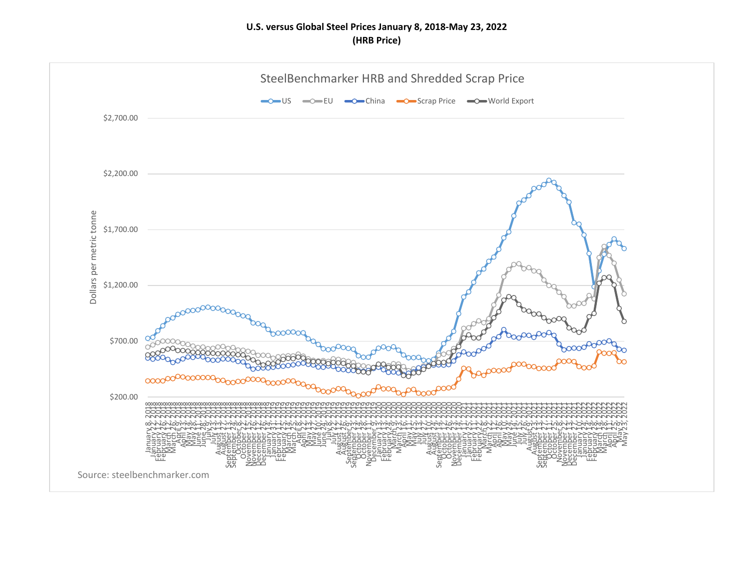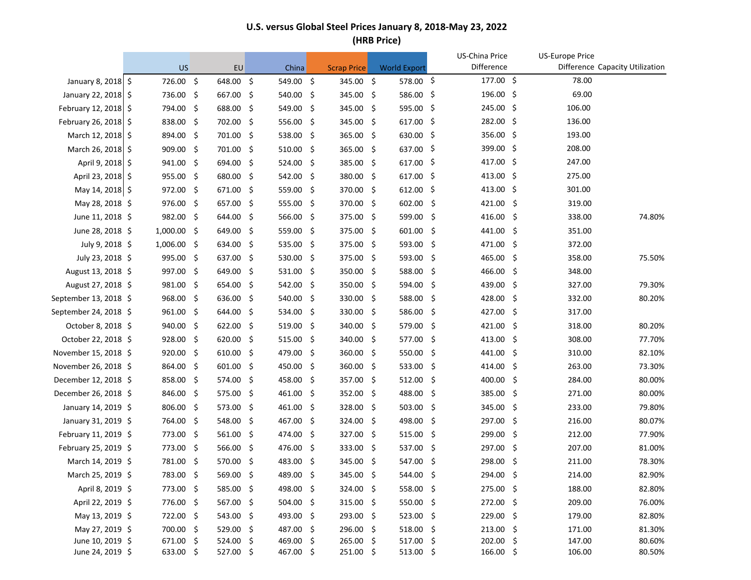|                       | <b>US</b>   |      | EU          |     | China       |      | <b>Scrap Price</b> |     | <b>World Export</b>    |     | US-China Price<br>Difference |     | <b>US-Europe Price</b> | Difference Capacity Utilization |
|-----------------------|-------------|------|-------------|-----|-------------|------|--------------------|-----|------------------------|-----|------------------------------|-----|------------------------|---------------------------------|
| January 8, 2018 \$    | 726.00 \$   |      | 648.00 \$   |     | 549.00 \$   |      | 345.00 \$          |     | 578.00 \$              |     | 177.00 \$                    |     | 78.00                  |                                 |
|                       |             |      |             |     |             |      |                    |     |                        |     | 196.00 \$                    |     | 69.00                  |                                 |
| January 22, 2018 \$   | 736.00 \$   |      | 667.00      | -\$ | 540.00 \$   |      | 345.00             | -\$ | 586.00 \$<br>595.00 \$ |     | 245.00 \$                    |     | 106.00                 |                                 |
| February 12, 2018 \$  | 794.00      | - \$ | 688.00 \$   |     | 549.00      | - \$ | 345.00             | -\$ |                        |     | 282.00 \$                    |     | 136.00                 |                                 |
| February 26, 2018 \$  | 838.00      | - \$ | 702.00 \$   |     | 556.00      | - \$ | 345.00             | -\$ | $617.00$ \$            |     |                              |     |                        |                                 |
| March 12, 2018 \$     | 894.00      | - \$ | 701.00 \$   |     | 538.00 \$   |      | 365.00             | -\$ | 630.00 \$              |     | 356.00%                      |     | 193.00                 |                                 |
| March 26, 2018 \$     | 909.00      | - \$ | 701.00 \$   |     | 510.00 \$   |      | 365.00             | -\$ | 637.00 \$              |     | 399.00 \$<br>417.00 \$       |     | 208.00                 |                                 |
| April 9, 2018 \$      | 941.00      | - \$ | 694.00      | -\$ | 524.00 \$   |      | 385.00             | -\$ | $617.00$ \$            |     |                              |     | 247.00                 |                                 |
| April 23, 2018 \$     | 955.00      | - \$ | 680.00 \$   |     | 542.00      | - \$ | 380.00             | -\$ | $617.00$ \$            |     | 413.00 \$                    |     | 275.00                 |                                 |
| May 14, 2018 \$       | 972.00      | -\$  | 671.00      | -\$ | 559.00 \$   |      | 370.00             | -\$ | 612.00                 | -\$ | 413.00 \$                    |     | 301.00                 |                                 |
| May 28, 2018 \$       | 976.00      | -\$  | 657.00 \$   |     | 555.00      | - \$ | 370.00             | -\$ | 602.00                 | -\$ | 421.00                       | \$  | 319.00                 |                                 |
| June 11, 2018 \$      | 982.00      | - \$ | 644.00 \$   |     | 566.00 \$   |      | 375.00 \$          |     | 599.00                 | -\$ | 416.00                       | \$. | 338.00                 | 74.80%                          |
| June 28, 2018 \$      | 1,000.00    | - \$ | 649.00      | -\$ | 559.00 \$   |      | 375.00             | -\$ | $601.00$ \$            |     | 441.00                       | \$  | 351.00                 |                                 |
| July 9, 2018 \$       | 1,006.00    | - \$ | 634.00 \$   |     | 535.00 \$   |      | 375.00             | -\$ | 593.00 \$              |     | 471.00                       | -\$ | 372.00                 |                                 |
| July 23, 2018 \$      | 995.00      | -\$  | 637.00      | -\$ | 530.00 \$   |      | 375.00             | -\$ | 593.00                 | -\$ | 465.00                       | \$  | 358.00                 | 75.50%                          |
| August 13, 2018 \$    | 997.00      | - \$ | 649.00 \$   |     | $531.00$ \$ |      | 350.00             | -\$ | 588.00                 | -\$ | 466.00                       | \$  | 348.00                 |                                 |
| August 27, 2018 \$    | 981.00      | - \$ | 654.00 \$   |     | 542.00 \$   |      | 350.00             | -\$ | 594.00                 | -\$ | 439.00                       | \$. | 327.00                 | 79.30%                          |
| September 13, 2018 \$ | 968.00      | - \$ | 636.00      | -\$ | 540.00      | - \$ | 330.00             | -\$ | 588.00                 | -\$ | 428.00                       | \$  | 332.00                 | 80.20%                          |
| September 24, 2018 \$ | 961.00      | -\$  | 644.00      | -\$ | 534.00 \$   |      | 330.00             | -\$ | 586.00                 | -\$ | 427.00                       | \$  | 317.00                 |                                 |
| October 8, 2018 \$    | 940.00      | -\$  | 622.00      | -\$ | 519.00      | - \$ | 340.00             | \$  | 579.00                 | -\$ | 421.00                       | \$. | 318.00                 | 80.20%                          |
| October 22, 2018 \$   | 928.00      | - \$ | $620.00$ \$ |     | 515.00%     |      | 340.00             | -\$ | 577.00                 | -\$ | 413.00                       | \$  | 308.00                 | 77.70%                          |
| November 15, 2018 \$  | 920.00      | - \$ | $610.00$ \$ |     | 479.00 \$   |      | 360.00             | -\$ | 550.00 \$              |     | 441.00                       | \$. | 310.00                 | 82.10%                          |
| November 26, 2018 \$  | 864.00      | - \$ | 601.00      | -\$ | 450.00 \$   |      | 360.00             | -\$ | $533.00$ \$            |     | 414.00                       | \$  | 263.00                 | 73.30%                          |
| December 12, 2018 \$  | 858.00      | - \$ | 574.00 \$   |     | 458.00 \$   |      | 357.00             | -\$ | 512.00 \$              |     | 400.00                       | \$  | 284.00                 | 80.00%                          |
| December 26, 2018 \$  | 846.00      | - \$ | 575.00 \$   |     | 461.00 \$   |      | 352.00             | -\$ | 488.00 \$              |     | 385.00                       | \$. | 271.00                 | 80.00%                          |
| January 14, 2019 \$   | $806.00$ \$ |      | $573.00$ \$ |     | 461.00 \$   |      | 328.00             | -\$ | $503.00$ \$            |     | 345.00                       | \$  | 233.00                 | 79.80%                          |
| January 31, 2019 \$   | 764.00      | -\$  | 548.00 \$   |     | 467.00 \$   |      | 324.00             | -\$ | 498.00 \$              |     | 297.00                       | \$  | 216.00                 | 80.07%                          |
| February 11, 2019 \$  | 773.00      | - \$ | 561.00      | -\$ | 474.00      | - \$ | 327.00             | -\$ | 515.00                 | -\$ | 299.00                       | \$  | 212.00                 | 77.90%                          |
| February 25, 2019 \$  | 773.00      | - \$ | 566.00 \$   |     | 476.00      | - \$ | 333.00             | \$  | 537.00                 | -\$ | 297.00                       | \$  | 207.00                 | 81.00%                          |
| March 14, 2019 \$     | 781.00      | - \$ | 570.00 \$   |     | 483.00 \$   |      | 345.00 \$          |     | 547.00                 | -\$ | 298.00                       | \$  | 211.00                 | 78.30%                          |
| March 25, 2019 \$     | 783.00 \$   |      | 569.00 \$   |     | 489.00 \$   |      | 345.00 \$          |     | 544.00 \$              |     | 294.00 \$                    |     | 214.00                 | 82.90%                          |
| April 8, 2019 \$      | 773.00 \$   |      | 585.00 \$   |     | 498.00 \$   |      | 324.00 \$          |     | 558.00 \$              |     | 275.00 \$                    |     | 188.00                 | 82.80%                          |
| April 22, 2019 \$     | 776.00 \$   |      | 567.00 \$   |     | 504.00 \$   |      | 315.00 \$          |     | 550.00 \$              |     | 272.00 \$                    |     | 209.00                 | 76.00%                          |
| May 13, 2019 \$       | 722.00 \$   |      | 543.00 \$   |     | 493.00 \$   |      | 293.00 \$          |     | 523.00 \$              |     | 229.00 \$                    |     | 179.00                 | 82.80%                          |
| May 27, 2019 \$       | 700.00 \$   |      | 529.00 \$   |     | 487.00 \$   |      | 296.00 \$          |     | 518.00 \$              |     | 213.00 \$                    |     | 171.00                 | 81.30%                          |
| June 10, 2019 \$      | 671.00 \$   |      | 524.00 \$   |     | 469.00 \$   |      | 265.00 \$          |     | 517.00 \$              |     | 202.00 \$                    |     | 147.00                 | 80.60%                          |
| June 24, 2019 \$      | 633.00 \$   |      | 527.00 \$   |     | 467.00 \$   |      | 251.00 \$          |     | 513.00 \$              |     | 166.00 \$                    |     | 106.00                 | 80.50%                          |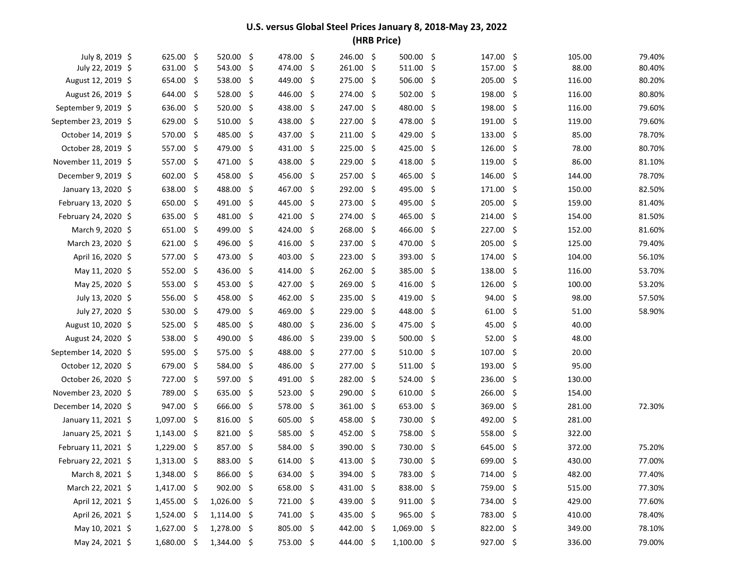| July 8, 2019 \$       | 625.00 \$     |      | 520.00              | -\$ | 478.00              | -\$  | 246.00    | \$  | 500.00        | \$   | 147.00              | \$  | 105.00 | 79.40% |
|-----------------------|---------------|------|---------------------|-----|---------------------|------|-----------|-----|---------------|------|---------------------|-----|--------|--------|
| July 22, 2019 \$      | 631.00 \$     |      | 543.00              | -\$ | 474.00 \$           |      | 261.00    | \$  | 511.00        | \$   | 157.00              | \$  | 88.00  | 80.40% |
| August 12, 2019 \$    | 654.00        | - \$ | $538.00$ \$         |     | 449.00 \$           |      | 275.00    | \$  | 506.00        | \$   | 205.00              | -\$ | 116.00 | 80.20% |
| August 26, 2019 \$    | 644.00        | - \$ | 528.00              | -\$ | 446.00 \$           |      | 274.00    | -\$ | 502.00        | \$   | 198.00              | -\$ | 116.00 | 80.80% |
| September 9, 2019 \$  | 636.00 \$     |      | $520.00$ \$         |     | 438.00 \$           |      | 247.00    | \$  | 480.00        | \$   | 198.00              | -\$ | 116.00 | 79.60% |
| September 23, 2019 \$ | 629.00 \$     |      | $510.00$ \$         |     | 438.00 \$           |      | 227.00    | \$  | 478.00        | \$   | 191.00              | -\$ | 119.00 | 79.60% |
| October 14, 2019 \$   | 570.00 \$     |      | 485.00 \$           |     | 437.00 \$           |      | 211.00    | \$  | 429.00 \$     |      | $133.00\frac{1}{5}$ |     | 85.00  | 78.70% |
| October 28, 2019 \$   | 557.00        | - \$ | 479.00 \$           |     | 431.00 \$           |      | 225.00    | \$  | 425.00 \$     |      | $126.00$ \$         |     | 78.00  | 80.70% |
| November 11, 2019 \$  | 557.00        | - \$ | 471.00              | \$  | 438.00 \$           |      | 229.00    | \$  | 418.00        | \$   | 119.00              | -\$ | 86.00  | 81.10% |
| December 9, 2019 \$   | 602.00 \$     |      | 458.00              | -\$ | $456.00\frac{1}{5}$ |      | 257.00    | \$  | 465.00        | \$   | 146.00              | -\$ | 144.00 | 78.70% |
| January 13, 2020 \$   | 638.00 \$     |      | 488.00              | -\$ | 467.00 \$           |      | 292.00    | \$  | 495.00        | \$   | 171.00              | -\$ | 150.00 | 82.50% |
| February 13, 2020 \$  | 650.00        | - \$ | 491.00 \$           |     | 445.00 \$           |      | 273.00    | \$  | 495.00        | \$   | 205.00              | -\$ | 159.00 | 81.40% |
| February 24, 2020 \$  | 635.00 \$     |      | 481.00 \$           |     | 421.00 \$           |      | 274.00    | \$  | 465.00 \$     |      | 214.00              | -\$ | 154.00 | 81.50% |
| March 9, 2020 \$      | 651.00        | - \$ | 499.00              | -\$ | 424.00 \$           |      | 268.00    | \$  | 466.00        | \$   | 227.00              | -\$ | 152.00 | 81.60% |
| March 23, 2020 \$     | $621.00$ \$   |      | 496.00              | -\$ | 416.00 \$           |      | 237.00    | \$  | 470.00 \$     |      | 205.00              | -\$ | 125.00 | 79.40% |
| April 16, 2020 \$     | 577.00        | - \$ | 473.00 \$           |     | 403.00 \$           |      | 223.00    | \$  | 393.00        | \$   | 174.00 \$           |     | 104.00 | 56.10% |
| May 11, 2020 \$       | 552.00        | - \$ | 436.00 \$           |     | 414.00 \$           |      | 262.00    | \$  | 385.00        | -\$  | 138.00              | -\$ | 116.00 | 53.70% |
| May 25, 2020 \$       | 553.00        | - \$ | $453.00\frac{1}{5}$ |     | 427.00 \$           |      | 269.00    | \$  | 416.00        | -\$  | 126.00              | -\$ | 100.00 | 53.20% |
| July 13, 2020 \$      | 556.00        | -\$  | 458.00              | \$  | 462.00 \$           |      | 235.00    | \$  | 419.00        | \$   | 94.00               | -\$ | 98.00  | 57.50% |
| July 27, 2020 \$      | 530.00        | - \$ | 479.00              | -\$ | 469.00 \$           |      | 229.00    | \$  | 448.00        | - \$ | 61.00               | -\$ | 51.00  | 58.90% |
| August 10, 2020 \$    | 525.00        | - \$ | 485.00 \$           |     | 480.00 \$           |      | 236.00    | \$  | 475.00 \$     |      | 45.00               | -\$ | 40.00  |        |
| August 24, 2020 \$    | 538.00        | - \$ | 490.00              | -\$ | 486.00 \$           |      | 239.00    | \$  | 500.00        | -\$  | 52.00               | -\$ | 48.00  |        |
| September 14, 2020 \$ | 595.00        | - \$ | 575.00 \$           |     | 488.00 \$           |      | 277.00    | \$  | $510.00$ \$   |      | 107.00              | -\$ | 20.00  |        |
| October 12, 2020 \$   | 679.00        | - \$ | 584.00              | -\$ | 486.00 \$           |      | 277.00    | \$. | 511.00        | \$   | 193.00              | -\$ | 95.00  |        |
| October 26, 2020 \$   | 727.00 \$     |      | 597.00 \$           |     | 491.00 \$           |      | 282.00    | \$  | 524.00        | - \$ | 236.00 \$           |     | 130.00 |        |
| November 23, 2020 \$  | 789.00 \$     |      | $635.00$ \$         |     | $523.00$ \$         |      | 290.00    | \$  | $610.00$ \$   |      | $266.00\frac{1}{5}$ |     | 154.00 |        |
| December 14, 2020 \$  | 947.00        | - \$ | 666.00 \$           |     | 578.00 \$           |      | 361.00    | \$  | 653.00%       |      | 369.00              | -\$ | 281.00 | 72.30% |
| January 11, 2021 \$   | 1,097.00      | - \$ | 816.00              | -\$ | 605.00%             |      | 458.00    | \$  | 730.00 \$     |      | 492.00              | -\$ | 281.00 |        |
| January 25, 2021 \$   | 1,143.00      | - \$ | $821.00$ \$         |     | 585.00 \$           |      | 452.00    | \$  | 758.00 \$     |      | 558.00              | -\$ | 322.00 |        |
| February 11, 2021 \$  | 1,229.00      | - \$ | 857.00 \$           |     | 584.00              | - \$ | 390.00    | -\$ | 730.00 \$     |      | 645.00              | -\$ | 372.00 | 75.20% |
| February 22, 2021 \$  | 1,313.00      | - \$ | 883.00 \$           |     | $614.00$ \$         |      | 413.00    | \$  | 730.00        | \$   | 699.00              | -\$ | 430.00 | 77.00% |
| March 8, 2021 \$      | 1,348.00 \$   |      | 866.00 \$           |     | 634.00 \$           |      | 394.00 \$ |     | 783.00        | \$   | 714.00 \$           |     | 482.00 | 77.40% |
| March 22, 2021 \$     | $1,417.00$ \$ |      | $902.00$ \$         |     | 658.00 \$           |      | 431.00 \$ |     | 838.00 \$     |      | 759.00 \$           |     | 515.00 | 77.30% |
| April 12, 2021 \$     | $1,455.00$ \$ |      | 1,026.00 \$         |     | 721.00 \$           |      | 439.00 \$ |     | 911.00 \$     |      | 734.00 \$           |     | 429.00 | 77.60% |
| April 26, 2021 \$     | $1,524.00$ \$ |      | $1,114.00$ \$       |     | 741.00 \$           |      | 435.00 \$ |     | 965.00 \$     |      | 783.00 \$           |     | 410.00 | 78.40% |
| May 10, 2021 \$       | $1,627.00$ \$ |      | 1,278.00 \$         |     | 805.00 \$           |      | 442.00 \$ |     | 1,069.00 \$   |      | 822.00 \$           |     | 349.00 | 78.10% |
| May 24, 2021 \$       | 1,680.00 \$   |      | 1,344.00 \$         |     | 753.00 \$           |      | 444.00 \$ |     | $1,100.00$ \$ |      | 927.00 \$           |     | 336.00 | 79.00% |